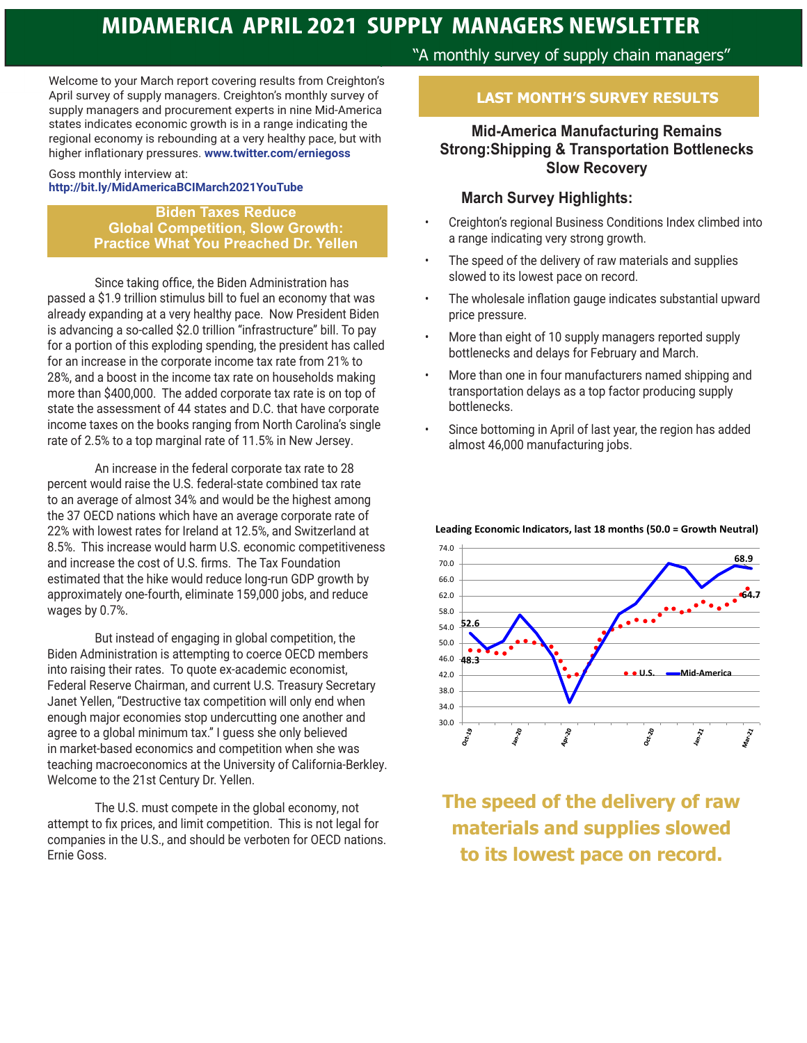Welcome to your March report covering results from Creighton's April survey of supply managers. Creighton's monthly survey of supply managers and procurement experts in nine Mid-America states indicates economic growth is in a range indicating the regional economy is rebounding at a very healthy pace, but with higher inflationary pressures. **www.twitter.com/erniegoss** 

#### Goss monthly interview at: **http://bit.ly/MidAmericaBCIMarch2021YouTube**

**Biden Taxes Reduce Global Competition, Slow Growth: Practice What You Preached Dr. Yellen**

 Since taking office, the Biden Administration has passed a \$1.9 trillion stimulus bill to fuel an economy that was already expanding at a very healthy pace. Now President Biden is advancing a so-called \$2.0 trillion "infrastructure" bill. To pay for a portion of this exploding spending, the president has called for an increase in the corporate income tax rate from 21% to 28%, and a boost in the income tax rate on households making more than \$400,000. The added corporate tax rate is on top of state the assessment of 44 states and D.C. that have corporate income taxes on the books ranging from North Carolina's single rate of 2.5% to a top marginal rate of 11.5% in New Jersey.

 An increase in the federal corporate tax rate to 28 percent would raise the U.S. federal-state combined tax rate to an average of almost 34% and would be the highest among the 37 OECD nations which have an average corporate rate of 22% with lowest rates for Ireland at 12.5%, and Switzerland at 8.5%. This increase would harm U.S. economic competitiveness and increase the cost of U.S. firms. The Tax Foundation estimated that the hike would reduce long-run GDP growth by approximately one-fourth, eliminate 159,000 jobs, and reduce wages by 0.7%.

 But instead of engaging in global competition, the Biden Administration is attempting to coerce OECD members into raising their rates. To quote ex-academic economist, Federal Reserve Chairman, and current U.S. Treasury Secretary Janet Yellen, "Destructive tax competition will only end when enough major economies stop undercutting one another and agree to a global minimum tax." I guess she only believed in market-based economics and competition when she was teaching macroeconomics at the University of California-Berkley. Welcome to the 21st Century Dr. Yellen.

 The U.S. must compete in the global economy, not attempt to fix prices, and limit competition. This is not legal for companies in the U.S., and should be verboten for OECD nations. Ernie Goss.

"A monthly survey of supply chain managers"

#### **LAST MONTH'S SURVEY RESULTS**

#### **Mid-America Manufacturing Remains Strong:Shipping & Transportation Bottlenecks Slow Recovery**

#### **March Survey Highlights:**

- Creighton's regional Business Conditions Index climbed into a range indicating very strong growth.
- The speed of the delivery of raw materials and supplies slowed to its lowest pace on record.
- The wholesale inflation gauge indicates substantial upward price pressure.
- More than eight of 10 supply managers reported supply bottlenecks and delays for February and March.
- More than one in four manufacturers named shipping and transportation delays as a top factor producing supply bottlenecks.
- Since bottoming in April of last year, the region has added almost 46,000 manufacturing jobs.



**Leading Economic Indicators, last 18 months (50.0 = Growth Neutral)**

**The speed of the delivery of raw materials and supplies slowed to its lowest pace on record.**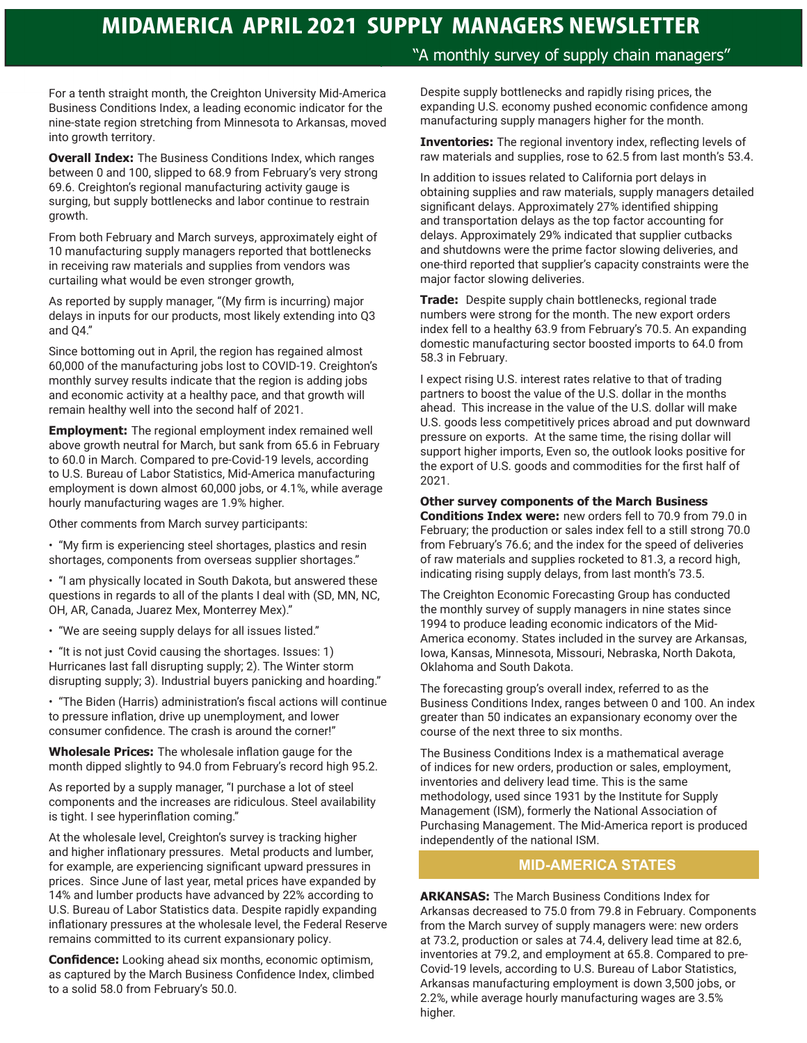"A monthly survey of supply chain managers"

For a tenth straight month, the Creighton University Mid-America Business Conditions Index, a leading economic indicator for the nine-state region stretching from Minnesota to Arkansas, moved into growth territory.

**Overall Index:** The Business Conditions Index, which ranges between 0 and 100, slipped to 68.9 from February's very strong 69.6. Creighton's regional manufacturing activity gauge is surging, but supply bottlenecks and labor continue to restrain growth.

From both February and March surveys, approximately eight of 10 manufacturing supply managers reported that bottlenecks in receiving raw materials and supplies from vendors was curtailing what would be even stronger growth,

As reported by supply manager, "(My firm is incurring) major delays in inputs for our products, most likely extending into Q3 and Q4."

Since bottoming out in April, the region has regained almost 60,000 of the manufacturing jobs lost to COVID-19. Creighton's monthly survey results indicate that the region is adding jobs and economic activity at a healthy pace, and that growth will remain healthy well into the second half of 2021.

**Employment:** The regional employment index remained well above growth neutral for March, but sank from 65.6 in February to 60.0 in March. Compared to pre-Covid-19 levels, according to U.S. Bureau of Labor Statistics, Mid-America manufacturing employment is down almost 60,000 jobs, or 4.1%, while average hourly manufacturing wages are 1.9% higher.

Other comments from March survey participants:

• "My firm is experiencing steel shortages, plastics and resin shortages, components from overseas supplier shortages."

• "I am physically located in South Dakota, but answered these questions in regards to all of the plants I deal with (SD, MN, NC, OH, AR, Canada, Juarez Mex, Monterrey Mex)."

• "We are seeing supply delays for all issues listed."

• "It is not just Covid causing the shortages. Issues: 1) Hurricanes last fall disrupting supply; 2). The Winter storm disrupting supply; 3). Industrial buyers panicking and hoarding."

• "The Biden (Harris) administration's fiscal actions will continue to pressure inflation, drive up unemployment, and lower consumer confidence. The crash is around the corner!"

**Wholesale Prices:** The wholesale inflation gauge for the month dipped slightly to 94.0 from February's record high 95.2.

As reported by a supply manager, "I purchase a lot of steel components and the increases are ridiculous. Steel availability is tight. I see hyperinflation coming."

At the wholesale level, Creighton's survey is tracking higher and higher inflationary pressures. Metal products and lumber, for example, are experiencing significant upward pressures in prices. Since June of last year, metal prices have expanded by 14% and lumber products have advanced by 22% according to U.S. Bureau of Labor Statistics data. Despite rapidly expanding inflationary pressures at the wholesale level, the Federal Reserve remains committed to its current expansionary policy.

**Confidence:** Looking ahead six months, economic optimism, as captured by the March Business Confidence Index, climbed to a solid 58.0 from February's 50.0.

Despite supply bottlenecks and rapidly rising prices, the expanding U.S. economy pushed economic confidence among manufacturing supply managers higher for the month.

**Inventories:** The regional inventory index, reflecting levels of raw materials and supplies, rose to 62.5 from last month's 53.4.

In addition to issues related to California port delays in obtaining supplies and raw materials, supply managers detailed significant delays. Approximately 27% identified shipping and transportation delays as the top factor accounting for delays. Approximately 29% indicated that supplier cutbacks and shutdowns were the prime factor slowing deliveries, and one-third reported that supplier's capacity constraints were the major factor slowing deliveries.

**Trade:** Despite supply chain bottlenecks, regional trade numbers were strong for the month. The new export orders index fell to a healthy 63.9 from February's 70.5. An expanding domestic manufacturing sector boosted imports to 64.0 from 58.3 in February.

I expect rising U.S. interest rates relative to that of trading partners to boost the value of the U.S. dollar in the months ahead. This increase in the value of the U.S. dollar will make U.S. goods less competitively prices abroad and put downward pressure on exports. At the same time, the rising dollar will support higher imports, Even so, the outlook looks positive for the export of U.S. goods and commodities for the first half of 2021.

#### **Other survey components of the March Business**

**Conditions Index were:** new orders fell to 70.9 from 79.0 in February; the production or sales index fell to a still strong 70.0 from February's 76.6; and the index for the speed of deliveries of raw materials and supplies rocketed to 81.3, a record high, indicating rising supply delays, from last month's 73.5.

The Creighton Economic Forecasting Group has conducted the monthly survey of supply managers in nine states since 1994 to produce leading economic indicators of the Mid-America economy. States included in the survey are Arkansas, Iowa, Kansas, Minnesota, Missouri, Nebraska, North Dakota, Oklahoma and South Dakota.

The forecasting group's overall index, referred to as the Business Conditions Index, ranges between 0 and 100. An index greater than 50 indicates an expansionary economy over the course of the next three to six months.

The Business Conditions Index is a mathematical average of indices for new orders, production or sales, employment, inventories and delivery lead time. This is the same methodology, used since 1931 by the Institute for Supply Management (ISM), formerly the National Association of Purchasing Management. The Mid-America report is produced independently of the national ISM.

#### **MID-AMERICA STATES**

**ARKANSAS:** The March Business Conditions Index for Arkansas decreased to 75.0 from 79.8 in February. Components from the March survey of supply managers were: new orders at 73.2, production or sales at 74.4, delivery lead time at 82.6, inventories at 79.2, and employment at 65.8. Compared to pre-Covid-19 levels, according to U.S. Bureau of Labor Statistics, Arkansas manufacturing employment is down 3,500 jobs, or 2.2%, while average hourly manufacturing wages are 3.5% higher.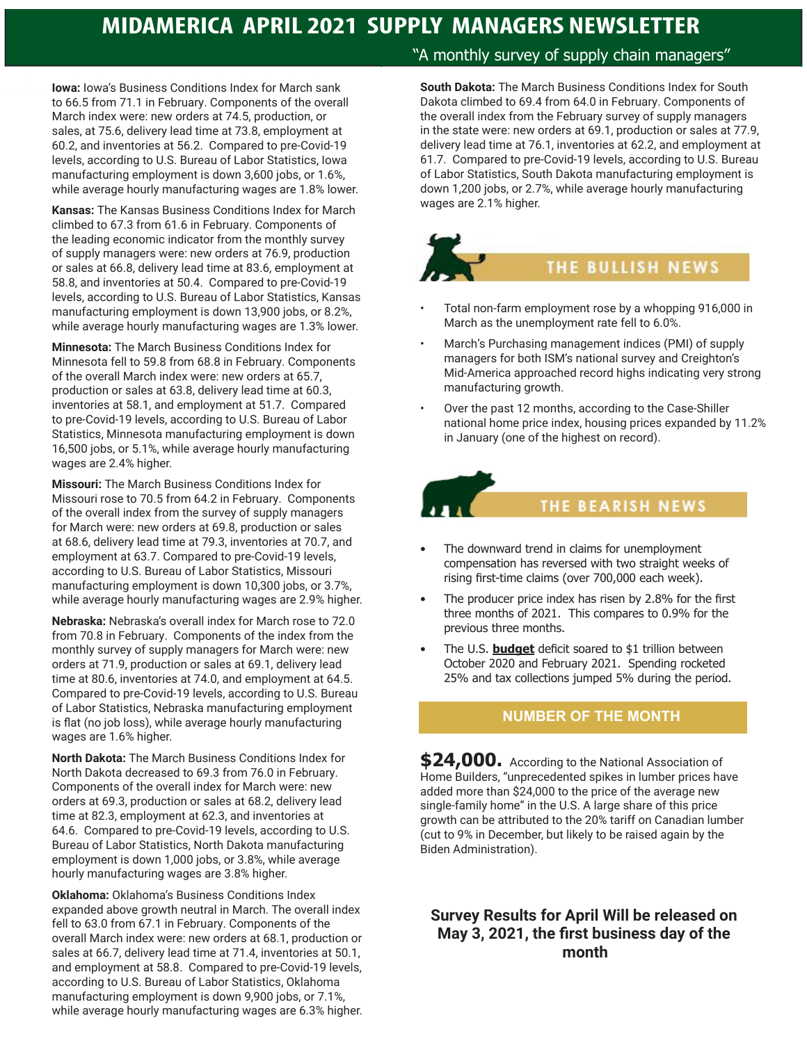**Iowa:** Iowa's Business Conditions Index for March sank to 66.5 from 71.1 in February. Components of the overall March index were: new orders at 74.5, production, or sales, at 75.6, delivery lead time at 73.8, employment at 60.2, and inventories at 56.2. Compared to pre-Covid-19 levels, according to U.S. Bureau of Labor Statistics, Iowa manufacturing employment is down 3,600 jobs, or 1.6%, while average hourly manufacturing wages are 1.8% lower.

**Kansas:** The Kansas Business Conditions Index for March climbed to 67.3 from 61.6 in February. Components of the leading economic indicator from the monthly survey of supply managers were: new orders at 76.9, production or sales at 66.8, delivery lead time at 83.6, employment at 58.8, and inventories at 50.4. Compared to pre-Covid-19 levels, according to U.S. Bureau of Labor Statistics, Kansas manufacturing employment is down 13,900 jobs, or 8.2%, while average hourly manufacturing wages are 1.3% lower.

**Minnesota:** The March Business Conditions Index for Minnesota fell to 59.8 from 68.8 in February. Components of the overall March index were: new orders at 65.7, production or sales at 63.8, delivery lead time at 60.3, inventories at 58.1, and employment at 51.7. Compared to pre-Covid-19 levels, according to U.S. Bureau of Labor Statistics, Minnesota manufacturing employment is down 16,500 jobs, or 5.1%, while average hourly manufacturing wages are 2.4% higher.

**Missouri:** The March Business Conditions Index for Missouri rose to 70.5 from 64.2 in February. Components of the overall index from the survey of supply managers for March were: new orders at 69.8, production or sales at 68.6, delivery lead time at 79.3, inventories at 70.7, and employment at 63.7. Compared to pre-Covid-19 levels, according to U.S. Bureau of Labor Statistics, Missouri manufacturing employment is down 10,300 jobs, or 3.7%, while average hourly manufacturing wages are 2.9% higher.

**Nebraska:** Nebraska's overall index for March rose to 72.0 from 70.8 in February. Components of the index from the monthly survey of supply managers for March were: new orders at 71.9, production or sales at 69.1, delivery lead time at 80.6, inventories at 74.0, and employment at 64.5. Compared to pre-Covid-19 levels, according to U.S. Bureau of Labor Statistics, Nebraska manufacturing employment is flat (no job loss), while average hourly manufacturing wages are 1.6% higher.

**North Dakota:** The March Business Conditions Index for North Dakota decreased to 69.3 from 76.0 in February. Components of the overall index for March were: new orders at 69.3, production or sales at 68.2, delivery lead time at 82.3, employment at 62.3, and inventories at 64.6. Compared to pre-Covid-19 levels, according to U.S. Bureau of Labor Statistics, North Dakota manufacturing employment is down 1,000 jobs, or 3.8%, while average hourly manufacturing wages are 3.8% higher.

**Oklahoma:** Oklahoma's Business Conditions Index expanded above growth neutral in March. The overall index fell to 63.0 from 67.1 in February. Components of the overall March index were: new orders at 68.1, production or sales at 66.7, delivery lead time at 71.4, inventories at 50.1, and employment at 58.8. Compared to pre-Covid-19 levels, according to U.S. Bureau of Labor Statistics, Oklahoma manufacturing employment is down 9,900 jobs, or 7.1%, while average hourly manufacturing wages are 6.3% higher.

#### "A monthly survey of supply chain managers"

**South Dakota:** The March Business Conditions Index for South Dakota climbed to 69.4 from 64.0 in February. Components of the overall index from the February survey of supply managers in the state were: new orders at 69.1, production or sales at 77.9, delivery lead time at 76.1, inventories at 62.2, and employment at 61.7. Compared to pre-Covid-19 levels, according to U.S. Bureau of Labor Statistics, South Dakota manufacturing employment is down 1,200 jobs, or 2.7%, while average hourly manufacturing wages are 2.1% higher.

# **THE BULLISH NEWS**

- Total non-farm employment rose by a whopping 916,000 in March as the unemployment rate fell to 6.0%.
- March's Purchasing management indices (PMI) of supply managers for both ISM's national survey and Creighton's Mid-America approached record highs indicating very strong manufacturing growth.
- Over the past 12 months, according to the Case-Shiller national home price index, housing prices expanded by 11.2% in January (one of the highest on record).



#### THE BEARISH NEWS

- The downward trend in claims for unemployment compensation has reversed with two straight weeks of rising first-time claims (over 700,000 each week).
- The producer price index has risen by 2.8% for the first three months of 2021. This compares to 0.9% for the previous three months.
- The U.S. **budget** deficit soared to \$1 trillion between October 2020 and February 2021. Spending rocketed 25% and tax collections jumped 5% during the period.

#### **NUMBER OF THE MONTH**

**\$24,000.** According to the National Association of Home Builders, "unprecedented spikes in lumber prices have added more than \$24,000 to the price of the average new single-family home" in the U.S. A large share of this price growth can be attributed to the 20% tariff on Canadian lumber (cut to 9% in December, but likely to be raised again by the Biden Administration).

#### **Survey Results for April Will be released on May 3, 2021, the first business day of the month**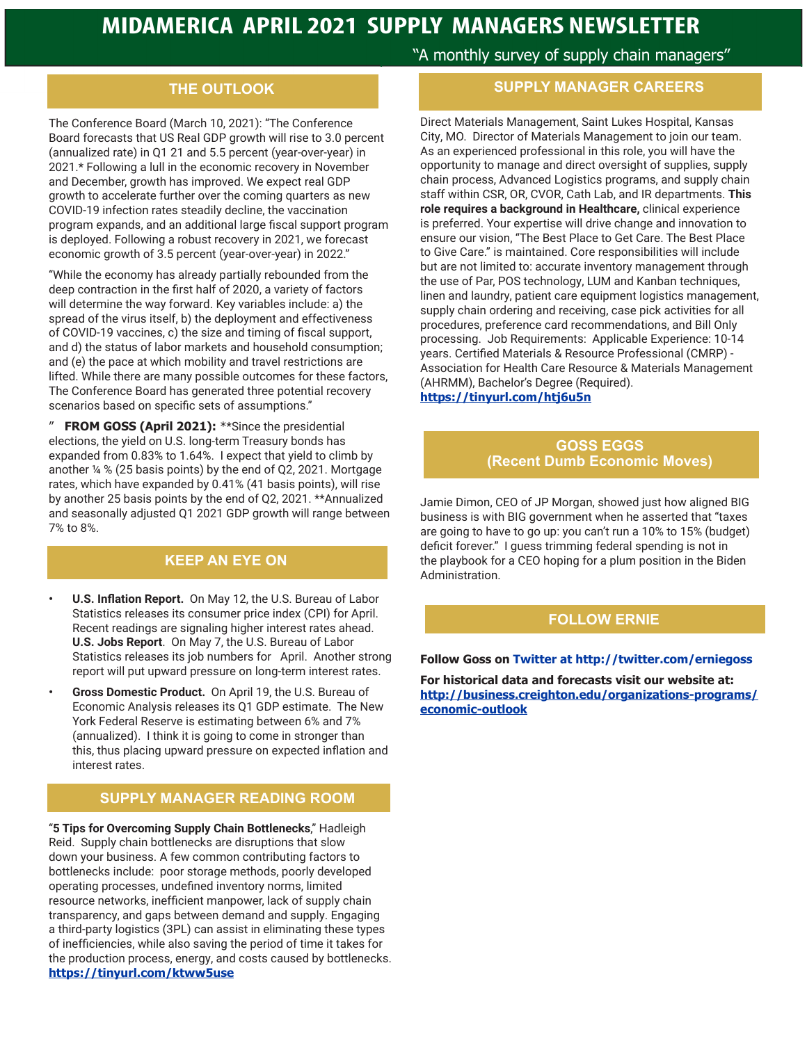#### **THE OUTLOOK**

The Conference Board (March 10, 2021): "The Conference Board forecasts that US Real GDP growth will rise to 3.0 percent (annualized rate) in Q1 21 and 5.5 percent (year-over-year) in 2021.\* Following a lull in the economic recovery in November and December, growth has improved. We expect real GDP growth to accelerate further over the coming quarters as new COVID-19 infection rates steadily decline, the vaccination program expands, and an additional large fiscal support program is deployed. Following a robust recovery in 2021, we forecast economic growth of 3.5 percent (year-over-year) in 2022."

"While the economy has already partially rebounded from the deep contraction in the first half of 2020, a variety of factors will determine the way forward. Key variables include: a) the spread of the virus itself, b) the deployment and effectiveness of COVID-19 vaccines, c) the size and timing of fiscal support, and d) the status of labor markets and household consumption; and (e) the pace at which mobility and travel restrictions are lifted. While there are many possible outcomes for these factors, The Conference Board has generated three potential recovery scenarios based on specific sets of assumptions."

**FROM GOSS (April 2021): \*\*Since the presidential** elections, the yield on U.S. long-term Treasury bonds has expanded from 0.83% to 1.64%. I expect that yield to climb by another ¼ % (25 basis points) by the end of Q2, 2021. Mortgage rates, which have expanded by 0.41% (41 basis points), will rise by another 25 basis points by the end of Q2, 2021. \*\*Annualized and seasonally adjusted Q1 2021 GDP growth will range between 7% to 8%.

#### **KEEP AN EYE ON**

- **• U.S. Inflation Report.** On May 12, the U.S. Bureau of Labor Statistics releases its consumer price index (CPI) for April. Recent readings are signaling higher interest rates ahead. **U.S. Jobs Report**. On May 7, the U.S. Bureau of Labor Statistics releases its job numbers for April. Another strong report will put upward pressure on long-term interest rates.
- **• Gross Domestic Product.** On April 19, the U.S. Bureau of Economic Analysis releases its Q1 GDP estimate. The New York Federal Reserve is estimating between 6% and 7% (annualized). I think it is going to come in stronger than this, thus placing upward pressure on expected inflation and interest rates.

#### **SUPPLY MANAGER READING ROOM**

"**5 Tips for Overcoming Supply Chain Bottlenecks**," Hadleigh Reid. Supply chain bottlenecks are disruptions that slow down your business. A few common contributing factors to bottlenecks include: poor storage methods, poorly developed operating processes, undefined inventory norms, limited resource networks, inefficient manpower, lack of supply chain transparency, and gaps between demand and supply. Engaging a third-party logistics (3PL) can assist in eliminating these types of inefficiencies, while also saving the period of time it takes for the production process, energy, and costs caused by bottlenecks. **https://tinyurl.com/ktww5use**

"A monthly survey of supply chain managers"

#### **SUPPLY MANAGER CAREERS**

Direct Materials Management, Saint Lukes Hospital, Kansas City, MO. Director of Materials Management to join our team. As an experienced professional in this role, you will have the opportunity to manage and direct oversight of supplies, supply chain process, Advanced Logistics programs, and supply chain staff within CSR, OR, CVOR, Cath Lab, and IR departments. **This role requires a background in Healthcare,** clinical experience is preferred. Your expertise will drive change and innovation to ensure our vision, "The Best Place to Get Care. The Best Place to Give Care." is maintained. Core responsibilities will include but are not limited to: accurate inventory management through the use of Par, POS technology, LUM and Kanban techniques, linen and laundry, patient care equipment logistics management, supply chain ordering and receiving, case pick activities for all procedures, preference card recommendations, and Bill Only processing. Job Requirements: Applicable Experience: 10-14 years. Certified Materials & Resource Professional (CMRP) - Association for Health Care Resource & Materials Management (AHRMM), Bachelor's Degree (Required). **https://tinyurl.com/htj6u5n**

#### **GOSS EGGS (Recent Dumb Economic Moves)**

Jamie Dimon, CEO of JP Morgan, showed just how aligned BIG business is with BIG government when he asserted that "taxes are going to have to go up: you can't run a 10% to 15% (budget) deficit forever." I guess trimming federal spending is not in the playbook for a CEO hoping for a plum position in the Biden Administration.

#### **FOLLOW ERNIE**

#### **Follow Goss on Twitter at http://twitter.com/erniegoss**

**For historical data and forecasts visit our website at: http://business.creighton.edu/organizations-programs/ economic-outlook**